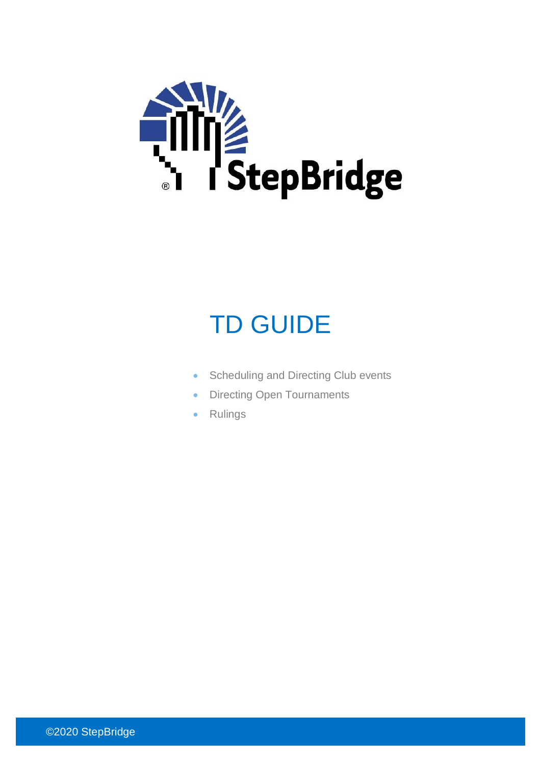

# TD GUIDE

- Scheduling and Directing Club events
- Directing Open Tournaments
- Rulings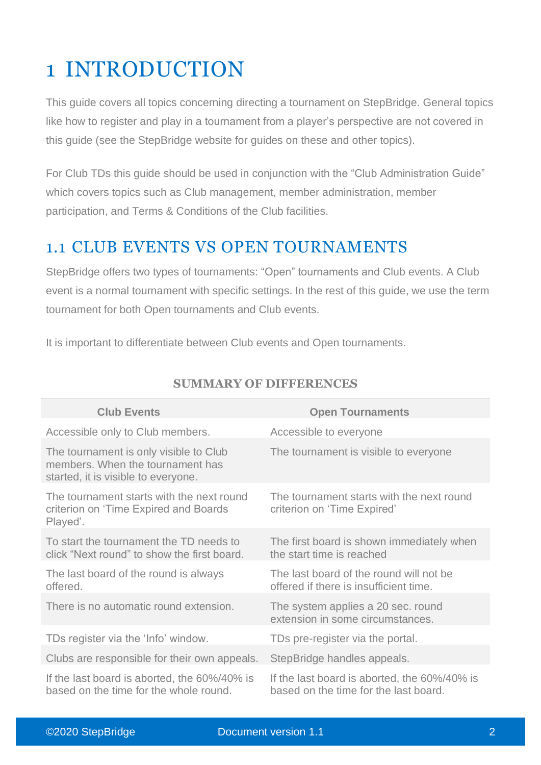# 1 INTRODUCTION

This guide covers all topics concerning directing a tournament on StepBridge. General topics like how to register and play in a tournament from a player's perspective are not covered in this guide (see the StepBridge website for guides on these and other topics).

For Club TDs this guide should be used in conjunction with the "Club Administration Guide" which covers topics such as Club management, member administration, member participation, and Terms & Conditions of the Club facilities.

## 1.1 CLUB EVENTS VS OPEN TOURNAMENTS

StepBridge offers two types of tournaments: "Open" tournaments and Club events. A Club event is a normal tournament with specific settings. In the rest of this guide, we use the term tournament for both Open tournaments and Club events.

It is important to differentiate between Club events and Open tournaments.

| <b>Club Events</b>                                                                                                | <b>Open Tournaments</b>                                                               |
|-------------------------------------------------------------------------------------------------------------------|---------------------------------------------------------------------------------------|
| Accessible only to Club members.                                                                                  | Accessible to everyone                                                                |
| The tournament is only visible to Club<br>members. When the tournament has<br>started, it is visible to everyone. | The tournament is visible to everyone                                                 |
| The tournament starts with the next round<br>criterion on 'Time Expired and Boards<br>Played'.                    | The tournament starts with the next round<br>criterion on 'Time Expired'              |
| To start the tournament the TD needs to<br>click "Next round" to show the first board.                            | The first board is shown immediately when<br>the start time is reached                |
| The last board of the round is always<br>offered.                                                                 | The last board of the round will not be<br>offered if there is insufficient time.     |
| There is no automatic round extension.                                                                            | The system applies a 20 sec. round<br>extension in some circumstances.                |
| TDs register via the 'Info' window.                                                                               | TDs pre-register via the portal.                                                      |
| Clubs are responsible for their own appeals.                                                                      | StepBridge handles appeals.                                                           |
| If the last board is aborted, the 60%/40% is<br>based on the time for the whole round.                            | If the last board is aborted, the 60%/40% is<br>based on the time for the last board. |

#### **SUMMARY OF DIFFERENCES**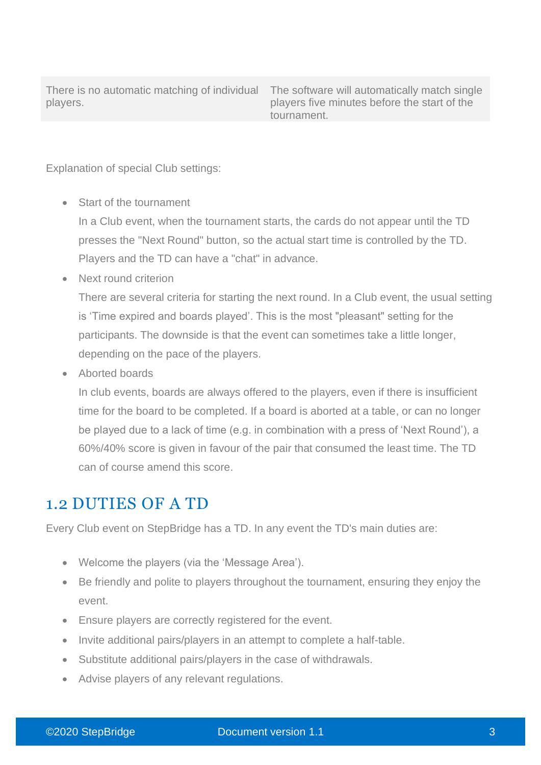There is no automatic matching of individual players.

The software will automatically match single players five minutes before the start of the tournament.

Explanation of special Club settings:

• Start of the tournament

In a Club event, when the tournament starts, the cards do not appear until the TD presses the "Next Round" button, so the actual start time is controlled by the TD. Players and the TD can have a "chat" in advance.

• Next round criterion

There are several criteria for starting the next round. In a Club event, the usual setting is 'Time expired and boards played'. This is the most "pleasant" setting for the participants. The downside is that the event can sometimes take a little longer, depending on the pace of the players.

• Aborted boards

In club events, boards are always offered to the players, even if there is insufficient time for the board to be completed. If a board is aborted at a table, or can no longer be played due to a lack of time (e.g. in combination with a press of 'Next Round'), a 60%/40% score is given in favour of the pair that consumed the least time. The TD can of course amend this score.

#### 1.2 DUTIES OF A TD

Every Club event on StepBridge has a TD. In any event the TD's main duties are:

- Welcome the players (via the 'Message Area').
- Be friendly and polite to players throughout the tournament, ensuring they enjoy the event.
- Ensure players are correctly registered for the event.
- Invite additional pairs/players in an attempt to complete a half-table.
- Substitute additional pairs/players in the case of withdrawals.
- Advise players of any relevant regulations.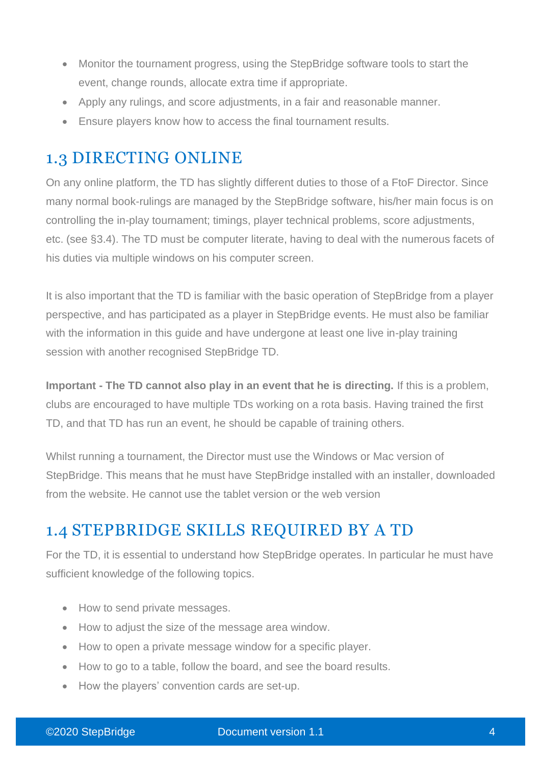- Monitor the tournament progress, using the StepBridge software tools to start the event, change rounds, allocate extra time if appropriate.
- Apply any rulings, and score adjustments, in a fair and reasonable manner.
- Ensure players know how to access the final tournament results.

## 1.3 DIRECTING ONLINE

On any online platform, the TD has slightly different duties to those of a FtoF Director. Since many normal book-rulings are managed by the StepBridge software, his/her main focus is on controlling the in-play tournament; timings, player technical problems, score adjustments, etc. (see §3.4). The TD must be computer literate, having to deal with the numerous facets of his duties via multiple windows on his computer screen.

It is also important that the TD is familiar with the basic operation of StepBridge from a player perspective, and has participated as a player in StepBridge events. He must also be familiar with the information in this guide and have undergone at least one live in-play training session with another recognised StepBridge TD.

**Important - The TD cannot also play in an event that he is directing.** If this is a problem, clubs are encouraged to have multiple TDs working on a rota basis. Having trained the first TD, and that TD has run an event, he should be capable of training others.

Whilst running a tournament, the Director must use the Windows or Mac version of StepBridge. This means that he must have StepBridge installed with an installer, downloaded from the website. He cannot use the tablet version or the web version

## 1.4 STEPBRIDGE SKILLS REQUIRED BY A TD

For the TD, it is essential to understand how StepBridge operates. In particular he must have sufficient knowledge of the following topics.

- How to send private messages.
- How to adjust the size of the message area window.
- How to open a private message window for a specific player.
- How to go to a table, follow the board, and see the board results.
- How the players' convention cards are set-up.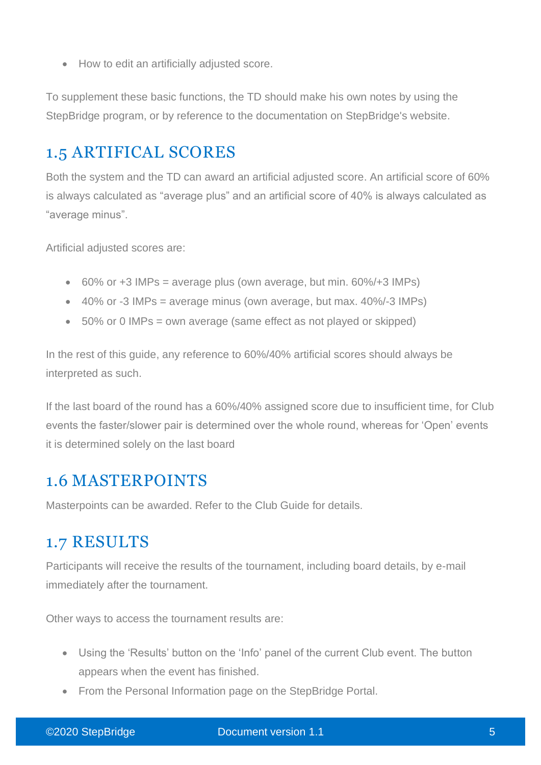• How to edit an artificially adjusted score.

To supplement these basic functions, the TD should make his own notes by using the StepBridge program, or by reference to the documentation on StepBridge's website.

## 1.5 ARTIFICAL SCORES

Both the system and the TD can award an artificial adjusted score. An artificial score of 60% is always calculated as "average plus" and an artificial score of 40% is always calculated as "average minus".

Artificial adjusted scores are:

- $\bullet$  60% or +3 IMPs = average plus (own average, but min. 60%/+3 IMPs)
- $\bullet$  40% or -3 IMPs = average minus (own average, but max. 40%/-3 IMPs)
- 50% or 0 IMPs = own average (same effect as not played or skipped)

In the rest of this guide, any reference to 60%/40% artificial scores should always be interpreted as such.

If the last board of the round has a 60%/40% assigned score due to insufficient time, for Club events the faster/slower pair is determined over the whole round, whereas for 'Open' events it is determined solely on the last board

#### 1.6 MASTERPOINTS

Masterpoints can be awarded. Refer to the Club Guide for details.

#### 1.7 RESULTS

Participants will receive the results of the tournament, including board details, by e-mail immediately after the tournament.

Other ways to access the tournament results are:

- Using the 'Results' button on the 'Info' panel of the current Club event. The button appears when the event has finished.
- From the Personal Information page on the StepBridge Portal.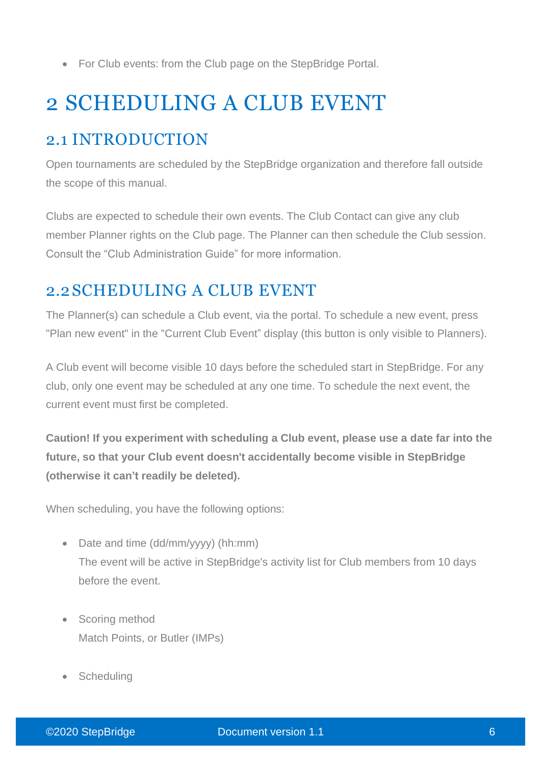• For Club events: from the Club page on the StepBridge Portal.

# 2 SCHEDULING A CLUB EVENT

# 2.1 INTRODUCTION

Open tournaments are scheduled by the StepBridge organization and therefore fall outside the scope of this manual.

Clubs are expected to schedule their own events. The Club Contact can give any club member Planner rights on the Club page. The Planner can then schedule the Club session. Consult the "Club Administration Guide" for more information.

## 2.2SCHEDULING A CLUB EVENT

The Planner(s) can schedule a Club event, via the portal. To schedule a new event, press "Plan new event" in the "Current Club Event" display (this button is only visible to Planners).

A Club event will become visible 10 days before the scheduled start in StepBridge. For any club, only one event may be scheduled at any one time. To schedule the next event, the current event must first be completed.

**Caution! If you experiment with scheduling a Club event, please use a date far into the future, so that your Club event doesn't accidentally become visible in StepBridge (otherwise it can't readily be deleted).**

When scheduling, you have the following options:

- Date and time (dd/mm/yyyy) (hh:mm) The event will be active in StepBridge's activity list for Club members from 10 days before the event.
- Scoring method Match Points, or Butler (IMPs)
- **Scheduling**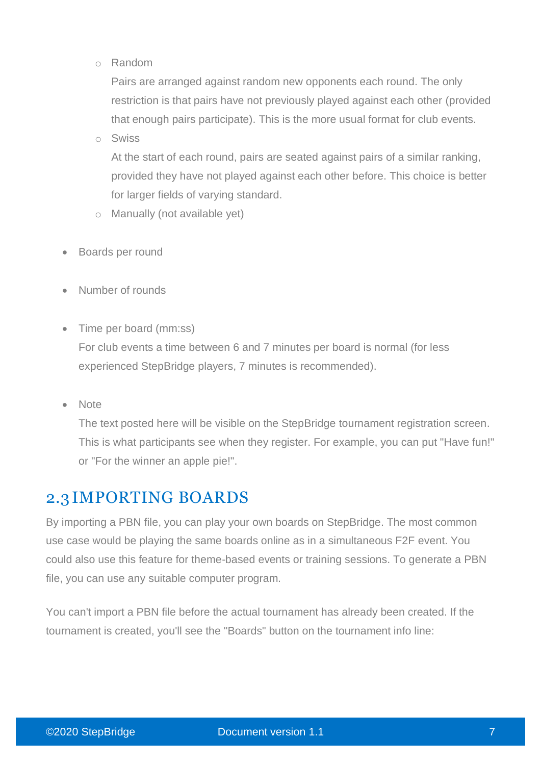o Random

Pairs are arranged against random new opponents each round. The only restriction is that pairs have not previously played against each other (provided that enough pairs participate). This is the more usual format for club events.

o Swiss

At the start of each round, pairs are seated against pairs of a similar ranking, provided they have not played against each other before. This choice is better for larger fields of varying standard.

- o Manually (not available yet)
- Boards per round
- Number of rounds
- Time per board (mm:ss)

For club events a time between 6 and 7 minutes per board is normal (for less experienced StepBridge players, 7 minutes is recommended).

• Note

The text posted here will be visible on the StepBridge tournament registration screen. This is what participants see when they register. For example, you can put "Have fun!" or "For the winner an apple pie!".

# 2.3 IMPORTING BOARDS

By importing a PBN file, you can play your own boards on StepBridge. The most common use case would be playing the same boards online as in a simultaneous F2F event. You could also use this feature for theme-based events or training sessions. To generate a PBN file, you can use any suitable computer program.

You can't import a PBN file before the actual tournament has already been created. If the tournament is created, you'll see the "Boards" button on the tournament info line: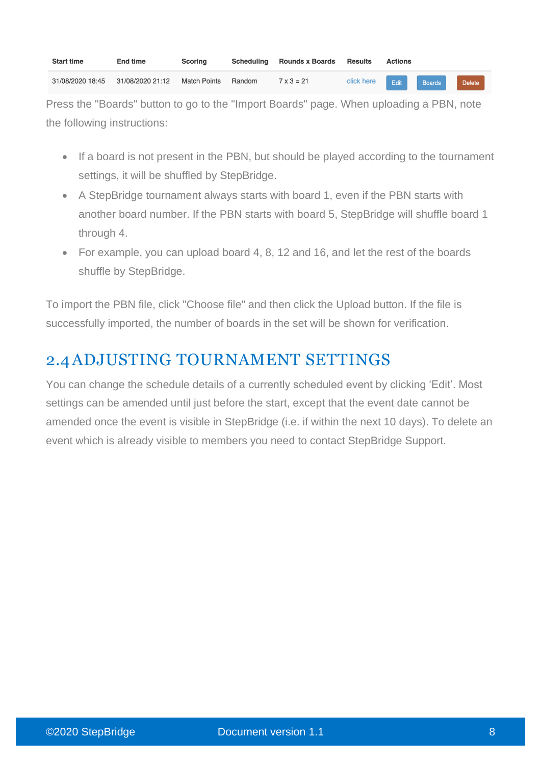| <b>Start time</b> | <b>End time</b>  | Scoring             |        | Scheduling Rounds x Boards | Results    | <b>Actions</b> |               |               |  |
|-------------------|------------------|---------------------|--------|----------------------------|------------|----------------|---------------|---------------|--|
| 31/08/2020 18:45  | 31/08/2020 21:12 | <b>Match Points</b> | Random | $7 \times 3 = 21$          | click here | Edit           | <b>Boards</b> | <b>Delete</b> |  |

Press the "Boards" button to go to the "Import Boards" page. When uploading a PBN, note the following instructions:

- If a board is not present in the PBN, but should be played according to the tournament settings, it will be shuffled by StepBridge.
- A StepBridge tournament always starts with board 1, even if the PBN starts with another board number. If the PBN starts with board 5, StepBridge will shuffle board 1 through 4.
- For example, you can upload board 4, 8, 12 and 16, and let the rest of the boards shuffle by StepBridge.

To import the PBN file, click "Choose file" and then click the Upload button. If the file is successfully imported, the number of boards in the set will be shown for verification.

# 2.4ADJUSTING TOURNAMENT SETTINGS

You can change the schedule details of a currently scheduled event by clicking 'Edit'. Most settings can be amended until just before the start, except that the event date cannot be amended once the event is visible in StepBridge (i.e. if within the next 10 days). To delete an event which is already visible to members you need to contact StepBridge Support.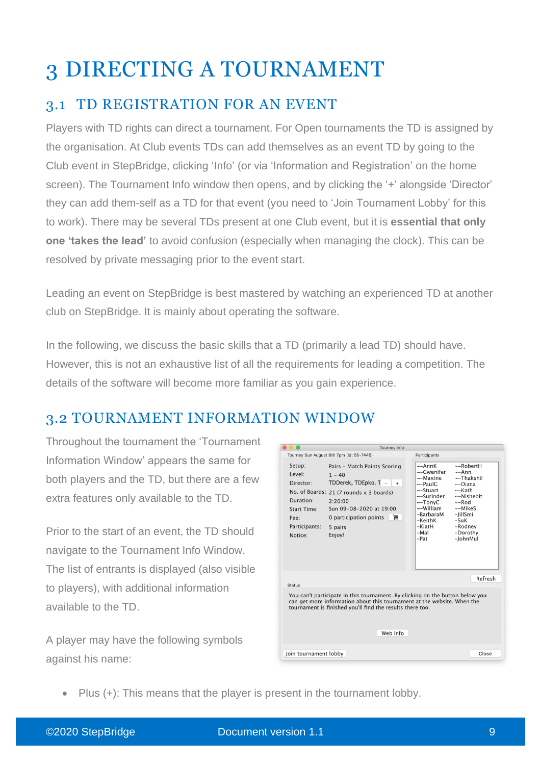# 3 DIRECTING A TOURNAMENT

## 3.1 TD REGISTRATION FOR AN EVENT

Players with TD rights can direct a tournament. For Open tournaments the TD is assigned by the organisation. At Club events TDs can add themselves as an event TD by going to the Club event in StepBridge, clicking 'Info' (or via 'Information and Registration' on the home screen). The Tournament Info window then opens, and by clicking the '+' alongside 'Director' they can add them-self as a TD for that event (you need to 'Join Tournament Lobby' for this to work). There may be several TDs present at one Club event, but it is **essential that only one 'takes the lead'** to avoid confusion (especially when managing the clock). This can be resolved by private messaging prior to the event start.

Leading an event on StepBridge is best mastered by watching an experienced TD at another club on StepBridge. It is mainly about operating the software.

In the following, we discuss the basic skills that a TD (primarily a lead TD) should have. However, this is not an exhaustive list of all the requirements for leading a competition. The details of the software will become more familiar as you gain experience.

## 3.2 TOURNAMENT INFORMATION WINDOW

Throughout the tournament the 'Tournament Information Window' appears the same for both players and the TD, but there are a few extra features only available to the TD.

Prior to the start of an event, the TD should navigate to the Tournament Info Window. The list of entrants is displayed (also visible to players), with additional information available to the TD.

A player may have the following symbols against his name:

|                                                                                                             | Tourney Info                                                                                                                                                                                                                      |                                                   |                                                                                                                    |                                                                                                                                                                                      |  |
|-------------------------------------------------------------------------------------------------------------|-----------------------------------------------------------------------------------------------------------------------------------------------------------------------------------------------------------------------------------|---------------------------------------------------|--------------------------------------------------------------------------------------------------------------------|--------------------------------------------------------------------------------------------------------------------------------------------------------------------------------------|--|
|                                                                                                             | Tourney Sun August 9th 7pm (id: 55-7445)                                                                                                                                                                                          | Participants                                      |                                                                                                                    |                                                                                                                                                                                      |  |
| Setup:<br>Level:<br>Director:<br>Duration:<br><b>Start Time:</b><br>$F\rho\rho$<br>Participants:<br>Notice: | Pairs - Match Points Scoring<br>$1 - 40$<br>TDDerek, TDEpko, $I = \vert + \vert$<br>No. of Boards: 21 (7 rounds x 3 boards)<br>2:20:00<br>Sun 09-08-2020 at 19:00<br>0 participation points<br>画<br>5 pairs<br>Enjoy!             | $\sim$ -AnnK<br>-KeithK<br>-KiatH<br>-Mal<br>-Pat | ~–Gwenifer<br>~-Maxine<br>$\sim$ -PaulG<br>$\sim$ -Stuart<br>~-Surinder<br>$\sim$ -TonyC<br>~-William<br>-BarbaraM | ~-RobertH<br>$\sim -Ann$<br>$\sim$ -Thakshil<br>$\sim$ -Diana<br>$\sim$ -Kath<br>~-Nishebit<br>$\sim$ -Rod<br>$\sim$ -MikeS<br>-JillSmi<br>$-SuK$<br>-Rodney<br>-Dorothy<br>-JohnMul |  |
| <b>Status</b>                                                                                               |                                                                                                                                                                                                                                   |                                                   |                                                                                                                    | Refresh                                                                                                                                                                              |  |
|                                                                                                             | You can't participate in this tournament. By clicking on the button below you<br>can get more information about this tournament at the website. When the<br>tournament is finished you'll find the results there too.<br>Web Info |                                                   |                                                                                                                    |                                                                                                                                                                                      |  |
| Join tournament lobby                                                                                       |                                                                                                                                                                                                                                   |                                                   |                                                                                                                    | Close                                                                                                                                                                                |  |

• Plus (+): This means that the player is present in the tournament lobby.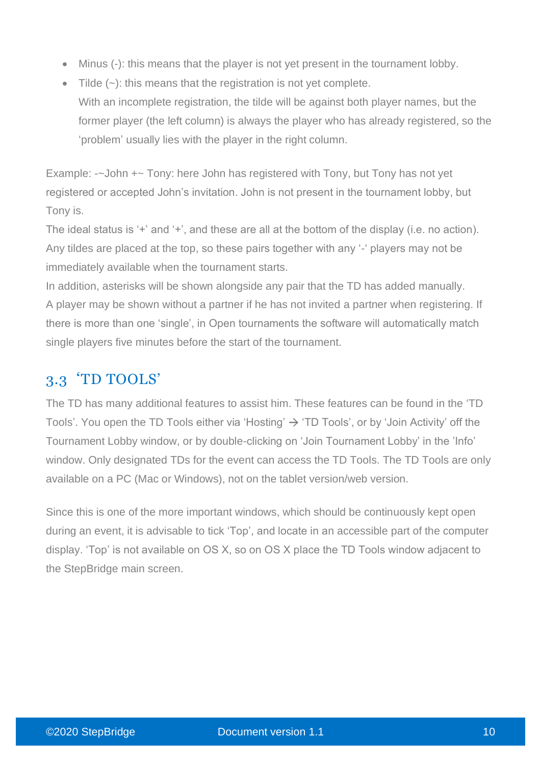- Minus (-): this means that the player is not yet present in the tournament lobby.
- Tilde  $(-)$ : this means that the registration is not yet complete. With an incomplete registration, the tilde will be against both player names, but the former player (the left column) is always the player who has already registered, so the 'problem' usually lies with the player in the right column.

Example: -~John +~ Tony: here John has registered with Tony, but Tony has not yet registered or accepted John's invitation. John is not present in the tournament lobby, but Tony is.

The ideal status is '+' and '+', and these are all at the bottom of the display (i.e. no action). Any tildes are placed at the top, so these pairs together with any '-' players may not be immediately available when the tournament starts.

In addition, asterisks will be shown alongside any pair that the TD has added manually. A player may be shown without a partner if he has not invited a partner when registering. If there is more than one 'single', in Open tournaments the software will automatically match single players five minutes before the start of the tournament.

## 3.3 'TD TOOLS'

The TD has many additional features to assist him. These features can be found in the 'TD Tools'. You open the TD Tools either via 'Hosting'  $\rightarrow$  'TD Tools', or by 'Join Activity' off the Tournament Lobby window, or by double-clicking on 'Join Tournament Lobby' in the 'Info' window. Only designated TDs for the event can access the TD Tools. The TD Tools are only available on a PC (Mac or Windows), not on the tablet version/web version.

Since this is one of the more important windows, which should be continuously kept open during an event, it is advisable to tick 'Top', and locate in an accessible part of the computer display. 'Top' is not available on OS X, so on OS X place the TD Tools window adjacent to the StepBridge main screen.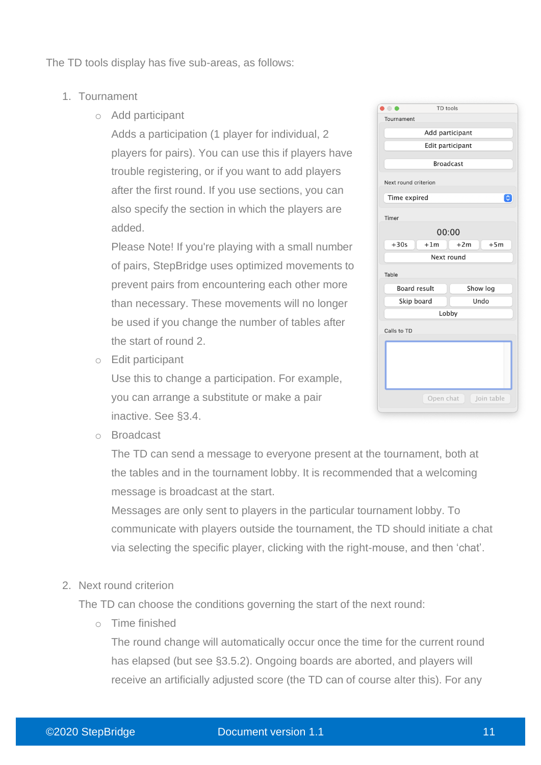The TD tools display has five sub-areas, as follows:

- 1. Tournament
	- o Add participant

Adds a participation (1 player for individual, 2 players for pairs). You can use this if players have trouble registering, or if you want to add players after the first round. If you use sections, you can also specify the section in which the players are added.

Please Note! If you're playing with a small number of pairs, StepBridge uses optimized movements to prevent pairs from encountering each other more than necessary. These movements will no longer be used if you change the number of tables after the start of round 2.

o Edit participant

Use this to change a participation. For example, you can arrange a substitute or make a pair inactive. See §3.4.

|                      | I D tools        |                |   |
|----------------------|------------------|----------------|---|
| Tournament           |                  |                |   |
|                      | Add participant  |                |   |
|                      | Edit participant |                |   |
|                      |                  |                |   |
|                      | <b>Broadcast</b> |                |   |
| Next round criterion |                  |                |   |
|                      |                  |                |   |
| Time expired         |                  |                | િ |
| Timer                |                  |                |   |
|                      |                  |                |   |
|                      | 00:00            |                |   |
| $+30s$               | $+1m$            | $+2m$<br>$+5m$ |   |
|                      | Next round       |                |   |
| Table                |                  |                |   |
|                      |                  |                |   |
| <b>Board result</b>  |                  | Show log       |   |
| Skip board           |                  | Undo           |   |
|                      | Lobby            |                |   |
| Calls to TD          |                  |                |   |
|                      |                  |                |   |
|                      |                  |                |   |
|                      |                  |                |   |
|                      |                  |                |   |
|                      |                  |                |   |
|                      |                  |                |   |
|                      | Open chat        | Join table     |   |

o Broadcast

The TD can send a message to everyone present at the tournament, both at the tables and in the tournament lobby. It is recommended that a welcoming message is broadcast at the start.

Messages are only sent to players in the particular tournament lobby. To communicate with players outside the tournament, the TD should initiate a chat via selecting the specific player, clicking with the right-mouse, and then 'chat'.

2. Next round criterion

The TD can choose the conditions governing the start of the next round:

o Time finished

The round change will automatically occur once the time for the current round has elapsed (but see §3.5.2). Ongoing boards are aborted, and players will receive an artificially adjusted score (the TD can of course alter this). For any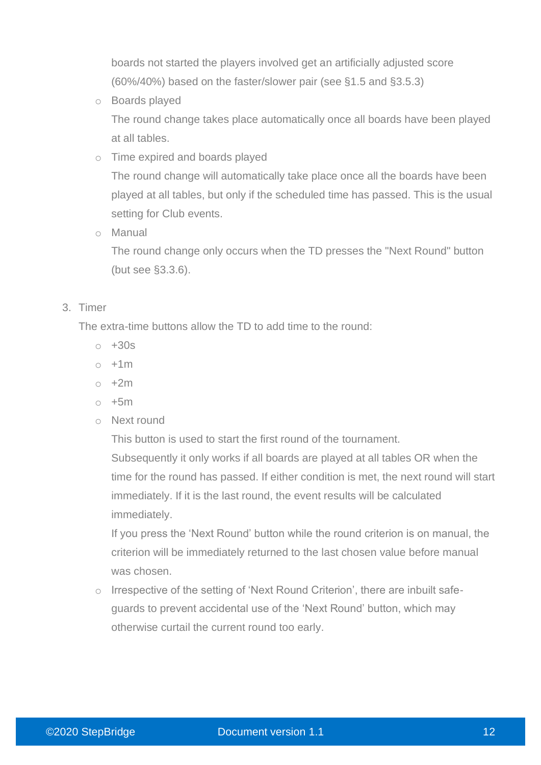boards not started the players involved get an artificially adjusted score (60%/40%) based on the faster/slower pair (see §1.5 and §3.5.3)

o Boards played

The round change takes place automatically once all boards have been played at all tables.

o Time expired and boards played

The round change will automatically take place once all the boards have been played at all tables, but only if the scheduled time has passed. This is the usual setting for Club events.

o Manual

The round change only occurs when the TD presses the "Next Round" button (but see §3.3.6).

#### 3. Timer

The extra-time buttons allow the TD to add time to the round:

- $\sim +30s$
- $\circ$  +1m
- $\circ$  +2m
- $\circ$  +5m
- o Next round

This button is used to start the first round of the tournament.

Subsequently it only works if all boards are played at all tables OR when the time for the round has passed. If either condition is met, the next round will start immediately. If it is the last round, the event results will be calculated immediately.

If you press the 'Next Round' button while the round criterion is on manual, the criterion will be immediately returned to the last chosen value before manual was chosen.

o Irrespective of the setting of 'Next Round Criterion', there are inbuilt safeguards to prevent accidental use of the 'Next Round' button, which may otherwise curtail the current round too early.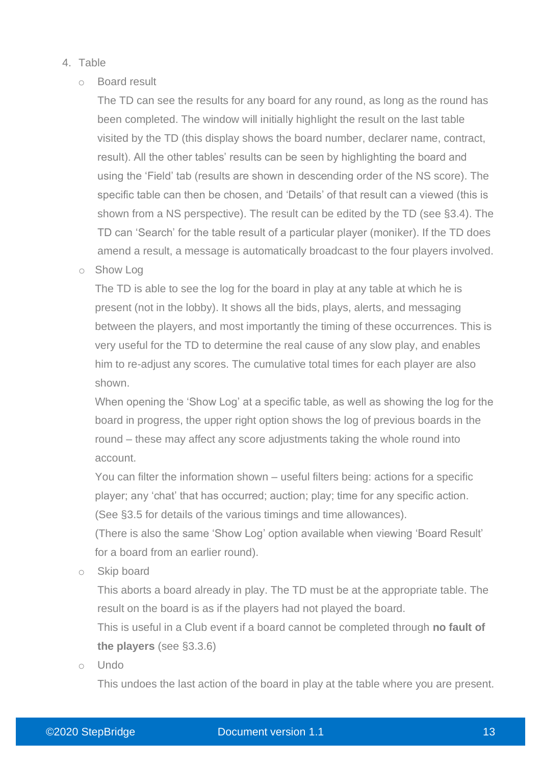#### 4. Table

#### o Board result

The TD can see the results for any board for any round, as long as the round has been completed. The window will initially highlight the result on the last table visited by the TD (this display shows the board number, declarer name, contract, result). All the other tables' results can be seen by highlighting the board and using the 'Field' tab (results are shown in descending order of the NS score). The specific table can then be chosen, and 'Details' of that result can a viewed (this is shown from a NS perspective). The result can be edited by the TD (see §3.4). The TD can 'Search' for the table result of a particular player (moniker). If the TD does amend a result, a message is automatically broadcast to the four players involved.

o Show Log

The TD is able to see the log for the board in play at any table at which he is present (not in the lobby). It shows all the bids, plays, alerts, and messaging between the players, and most importantly the timing of these occurrences. This is very useful for the TD to determine the real cause of any slow play, and enables him to re-adjust any scores. The cumulative total times for each player are also shown.

When opening the 'Show Log' at a specific table, as well as showing the log for the board in progress, the upper right option shows the log of previous boards in the round – these may affect any score adjustments taking the whole round into account.

You can filter the information shown – useful filters being: actions for a specific player; any 'chat' that has occurred; auction; play; time for any specific action. (See §3.5 for details of the various timings and time allowances).

(There is also the same 'Show Log' option available when viewing 'Board Result' for a board from an earlier round).

o Skip board

This aborts a board already in play. The TD must be at the appropriate table. The result on the board is as if the players had not played the board.

This is useful in a Club event if a board cannot be completed through **no fault of the players** (see §3.3.6)

o Undo

This undoes the last action of the board in play at the table where you are present.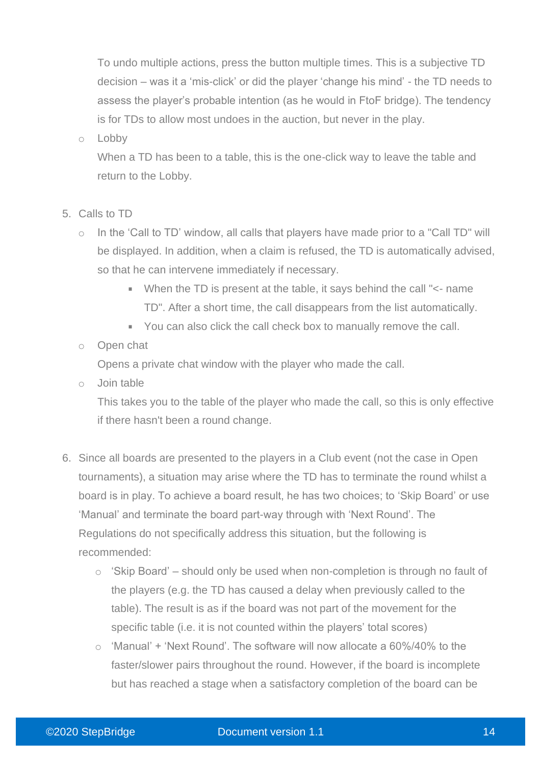To undo multiple actions, press the button multiple times. This is a subjective TD decision – was it a 'mis-click' or did the player 'change his mind' - the TD needs to assess the player's probable intention (as he would in FtoF bridge). The tendency is for TDs to allow most undoes in the auction, but never in the play.

#### o Lobby

When a TD has been to a table, this is the one-click way to leave the table and return to the Lobby.

- 5. Calls to TD
	- o In the 'Call to TD' window, all calls that players have made prior to a "Call TD" will be displayed. In addition, when a claim is refused, the TD is automatically advised, so that he can intervene immediately if necessary.
		- When the TD is present at the table, it says behind the call "<- name TD". After a short time, the call disappears from the list automatically.
		- You can also click the call check box to manually remove the call.

#### o Open chat

Opens a private chat window with the player who made the call.

o Join table

This takes you to the table of the player who made the call, so this is only effective if there hasn't been a round change.

- 6. Since all boards are presented to the players in a Club event (not the case in Open tournaments), a situation may arise where the TD has to terminate the round whilst a board is in play. To achieve a board result, he has two choices; to 'Skip Board' or use 'Manual' and terminate the board part-way through with 'Next Round'. The Regulations do not specifically address this situation, but the following is recommended:
	- o 'Skip Board' should only be used when non-completion is through no fault of the players (e.g. the TD has caused a delay when previously called to the table). The result is as if the board was not part of the movement for the specific table (i.e. it is not counted within the players' total scores)
	- $\circ$  'Manual' + 'Next Round'. The software will now allocate a 60%/40% to the faster/slower pairs throughout the round. However, if the board is incomplete but has reached a stage when a satisfactory completion of the board can be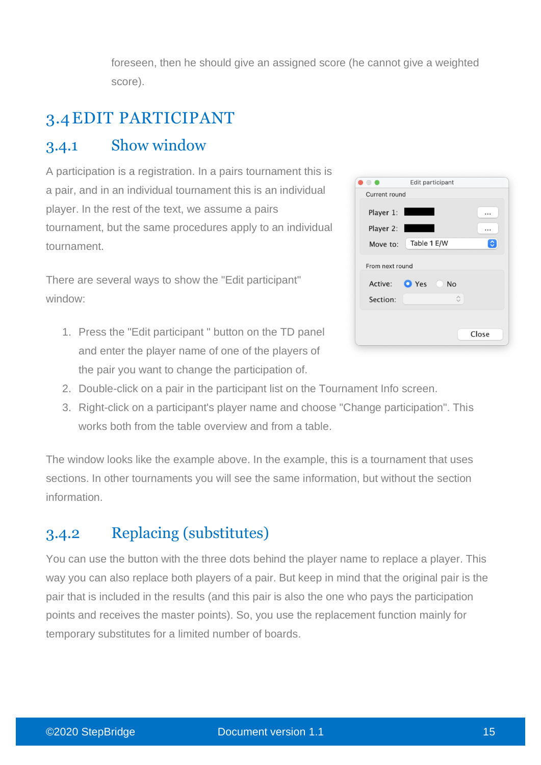foreseen, then he should give an assigned score (he cannot give a weighted score).

# 3.4EDIT PARTICIPANT

## 3.4.1 Show window

A participation is a registration. In a pairs tournament this is a pair, and in an individual tournament this is an individual player. In the rest of the text, we assume a pairs tournament, but the same procedures apply to an individual tournament.

There are several ways to show the "Edit participant" window:

1. Press the "Edit participant " button on the TD panel and enter the player name of one of the players of the pair you want to change the participation of.

|                             | Edit participant                                        |       |
|-----------------------------|---------------------------------------------------------|-------|
| Current round               |                                                         |       |
| Player 1:<br>Player 2:      |                                                         | <br>  |
| Move to:                    | Table 1 E/W                                             | ≎     |
| From next round<br>Section: | Active: <b>O</b> Yes<br><b>No</b><br>$\hat{\mathbb{C}}$ |       |
|                             |                                                         | Close |

- 2. Double-click on a pair in the participant list on the Tournament Info screen.
- 3. Right-click on a participant's player name and choose "Change participation". This works both from the table overview and from a table.

The window looks like the example above. In the example, this is a tournament that uses sections. In other tournaments you will see the same information, but without the section information.

## 3.4.2 Replacing (substitutes)

You can use the button with the three dots behind the player name to replace a player. This way you can also replace both players of a pair. But keep in mind that the original pair is the pair that is included in the results (and this pair is also the one who pays the participation points and receives the master points). So, you use the replacement function mainly for temporary substitutes for a limited number of boards.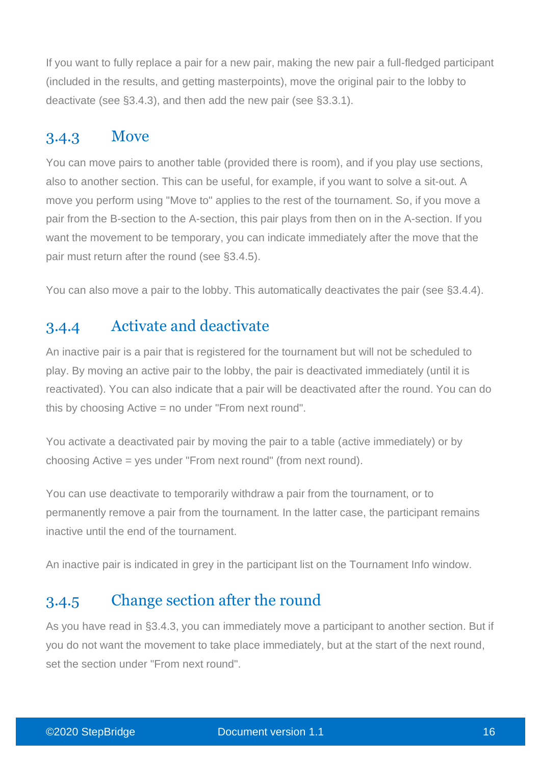If you want to fully replace a pair for a new pair, making the new pair a full-fledged participant (included in the results, and getting masterpoints), move the original pair to the lobby to deactivate (see §3.4.3), and then add the new pair (see §3.3.1).

## 3.4.3 Move

You can move pairs to another table (provided there is room), and if you play use sections, also to another section. This can be useful, for example, if you want to solve a sit-out. A move you perform using "Move to" applies to the rest of the tournament. So, if you move a pair from the B-section to the A-section, this pair plays from then on in the A-section. If you want the movement to be temporary, you can indicate immediately after the move that the pair must return after the round (see §3.4.5).

You can also move a pair to the lobby. This automatically deactivates the pair (see §3.4.4).

## 3.4.4 Activate and deactivate

An inactive pair is a pair that is registered for the tournament but will not be scheduled to play. By moving an active pair to the lobby, the pair is deactivated immediately (until it is reactivated). You can also indicate that a pair will be deactivated after the round. You can do this by choosing Active = no under "From next round".

You activate a deactivated pair by moving the pair to a table (active immediately) or by choosing Active = yes under "From next round" (from next round).

You can use deactivate to temporarily withdraw a pair from the tournament, or to permanently remove a pair from the tournament. In the latter case, the participant remains inactive until the end of the tournament.

An inactive pair is indicated in grey in the participant list on the Tournament Info window.

## 3.4.5 Change section after the round

As you have read in §3.4.3, you can immediately move a participant to another section. But if you do not want the movement to take place immediately, but at the start of the next round, set the section under "From next round".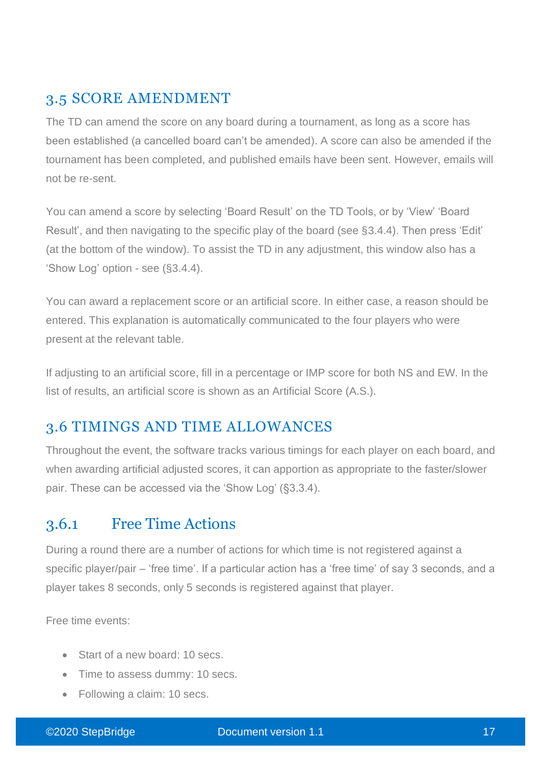#### 3.5 SCORE AMENDMENT

The TD can amend the score on any board during a tournament, as long as a score has been established (a cancelled board can't be amended). A score can also be amended if the tournament has been completed, and published emails have been sent. However, emails will not be re-sent.

You can amend a score by selecting 'Board Result' on the TD Tools, or by 'View' 'Board Result', and then navigating to the specific play of the board (see §3.4.4). Then press 'Edit' (at the bottom of the window). To assist the TD in any adjustment, this window also has a 'Show Log' option - see (§3.4.4).

You can award a replacement score or an artificial score. In either case, a reason should be entered. This explanation is automatically communicated to the four players who were present at the relevant table.

If adjusting to an artificial score, fill in a percentage or IMP score for both NS and EW. In the list of results, an artificial score is shown as an Artificial Score (A.S.).

## 3.6 TIMINGS AND TIME ALLOWANCES

Throughout the event, the software tracks various timings for each player on each board, and when awarding artificial adjusted scores, it can apportion as appropriate to the faster/slower pair. These can be accessed via the 'Show Log' (§3.3.4).

### 3.6.1 Free Time Actions

During a round there are a number of actions for which time is not registered against a specific player/pair – 'free time'. If a particular action has a 'free time' of say 3 seconds, and a player takes 8 seconds, only 5 seconds is registered against that player.

Free time events:

- Start of a new board: 10 secs.
- Time to assess dummy: 10 secs.
- Following a claim: 10 secs.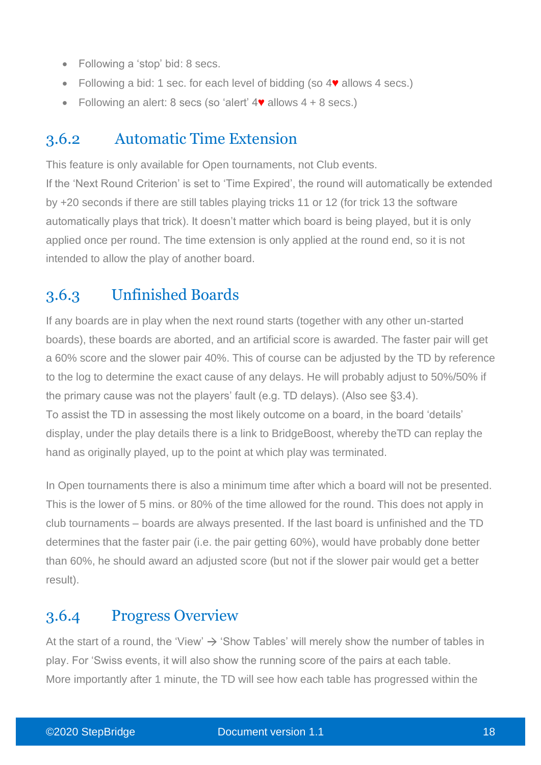- Following a 'stop' bid: 8 secs.
- Following a bid: 1 sec. for each level of bidding (so 4♥ allows 4 secs.)
- Following an alert: 8 secs (so 'alert' 4♥ allows 4 + 8 secs.)

#### 3.6.2 Automatic Time Extension

This feature is only available for Open tournaments, not Club events.

If the 'Next Round Criterion' is set to 'Time Expired', the round will automatically be extended by +20 seconds if there are still tables playing tricks 11 or 12 (for trick 13 the software automatically plays that trick). It doesn't matter which board is being played, but it is only applied once per round. The time extension is only applied at the round end, so it is not intended to allow the play of another board.

### 3.6.3 Unfinished Boards

If any boards are in play when the next round starts (together with any other un-started boards), these boards are aborted, and an artificial score is awarded. The faster pair will get a 60% score and the slower pair 40%. This of course can be adjusted by the TD by reference to the log to determine the exact cause of any delays. He will probably adjust to 50%/50% if the primary cause was not the players' fault (e.g. TD delays). (Also see §3.4). To assist the TD in assessing the most likely outcome on a board, in the board 'details' display, under the play details there is a link to BridgeBoost, whereby theTD can replay the hand as originally played, up to the point at which play was terminated.

In Open tournaments there is also a minimum time after which a board will not be presented. This is the lower of 5 mins. or 80% of the time allowed for the round. This does not apply in club tournaments – boards are always presented. If the last board is unfinished and the TD determines that the faster pair (i.e. the pair getting 60%), would have probably done better than 60%, he should award an adjusted score (but not if the slower pair would get a better result).

### 3.6.4 Progress Overview

At the start of a round, the 'View'  $\rightarrow$  'Show Tables' will merely show the number of tables in play. For 'Swiss events, it will also show the running score of the pairs at each table. More importantly after 1 minute, the TD will see how each table has progressed within the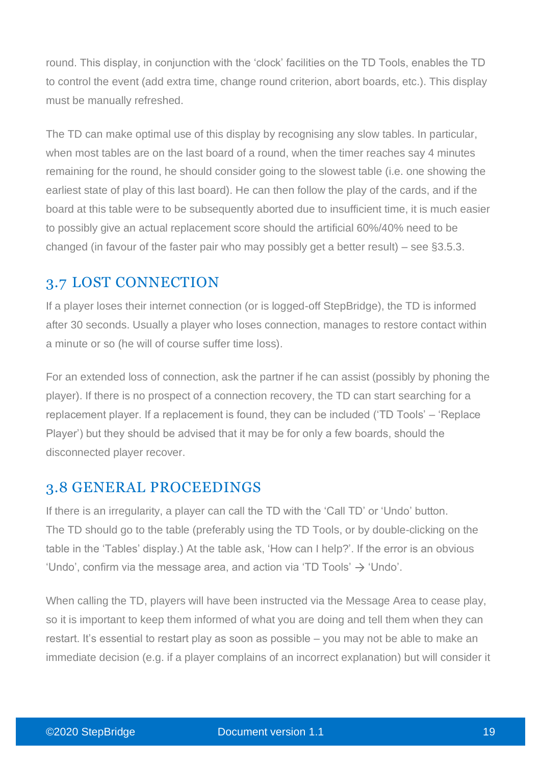round. This display, in conjunction with the 'clock' facilities on the TD Tools, enables the TD to control the event (add extra time, change round criterion, abort boards, etc.). This display must be manually refreshed.

The TD can make optimal use of this display by recognising any slow tables. In particular, when most tables are on the last board of a round, when the timer reaches say 4 minutes remaining for the round, he should consider going to the slowest table (i.e. one showing the earliest state of play of this last board). He can then follow the play of the cards, and if the board at this table were to be subsequently aborted due to insufficient time, it is much easier to possibly give an actual replacement score should the artificial 60%/40% need to be changed (in favour of the faster pair who may possibly get a better result) – see §3.5.3.

### 3.7 LOST CONNECTION

If a player loses their internet connection (or is logged-off StepBridge), the TD is informed after 30 seconds. Usually a player who loses connection, manages to restore contact within a minute or so (he will of course suffer time loss).

For an extended loss of connection, ask the partner if he can assist (possibly by phoning the player). If there is no prospect of a connection recovery, the TD can start searching for a replacement player. If a replacement is found, they can be included ('TD Tools' – 'Replace Player') but they should be advised that it may be for only a few boards, should the disconnected player recover.

### 3.8 GENERAL PROCEEDINGS

If there is an irregularity, a player can call the TD with the 'Call TD' or 'Undo' button. The TD should go to the table (preferably using the TD Tools, or by double-clicking on the table in the 'Tables' display.) At the table ask, 'How can I help?'. If the error is an obvious 'Undo', confirm via the message area, and action via 'TD Tools'  $\rightarrow$  'Undo'.

When calling the TD, players will have been instructed via the Message Area to cease play, so it is important to keep them informed of what you are doing and tell them when they can restart. It's essential to restart play as soon as possible – you may not be able to make an immediate decision (e.g. if a player complains of an incorrect explanation) but will consider it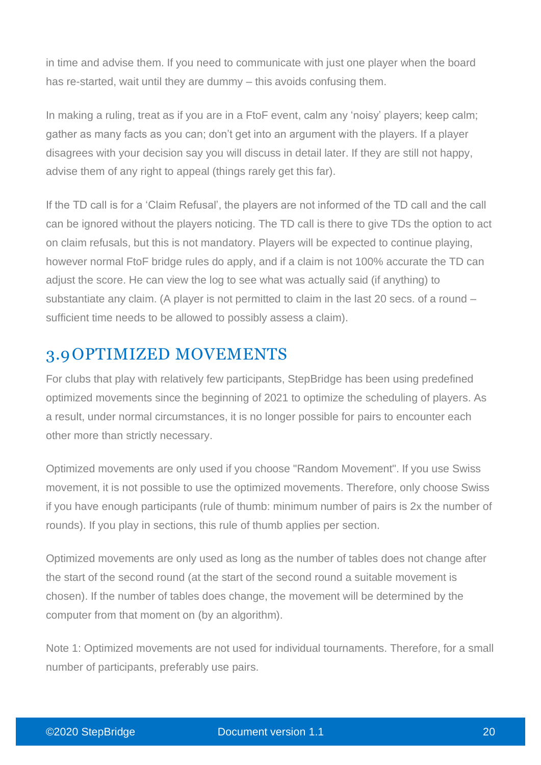in time and advise them. If you need to communicate with just one player when the board has re-started, wait until they are dummy – this avoids confusing them.

In making a ruling, treat as if you are in a FtoF event, calm any 'noisy' players; keep calm; gather as many facts as you can; don't get into an argument with the players. If a player disagrees with your decision say you will discuss in detail later. If they are still not happy, advise them of any right to appeal (things rarely get this far).

If the TD call is for a 'Claim Refusal', the players are not informed of the TD call and the call can be ignored without the players noticing. The TD call is there to give TDs the option to act on claim refusals, but this is not mandatory. Players will be expected to continue playing, however normal FtoF bridge rules do apply, and if a claim is not 100% accurate the TD can adjust the score. He can view the log to see what was actually said (if anything) to substantiate any claim. (A player is not permitted to claim in the last 20 secs. of a round – sufficient time needs to be allowed to possibly assess a claim).

## 3.9OPTIMIZED MOVEMENTS

For clubs that play with relatively few participants, StepBridge has been using predefined optimized movements since the beginning of 2021 to optimize the scheduling of players. As a result, under normal circumstances, it is no longer possible for pairs to encounter each other more than strictly necessary.

Optimized movements are only used if you choose "Random Movement". If you use Swiss movement, it is not possible to use the optimized movements. Therefore, only choose Swiss if you have enough participants (rule of thumb: minimum number of pairs is 2x the number of rounds). If you play in sections, this rule of thumb applies per section.

Optimized movements are only used as long as the number of tables does not change after the start of the second round (at the start of the second round a suitable movement is chosen). If the number of tables does change, the movement will be determined by the computer from that moment on (by an algorithm).

Note 1: Optimized movements are not used for individual tournaments. Therefore, for a small number of participants, preferably use pairs.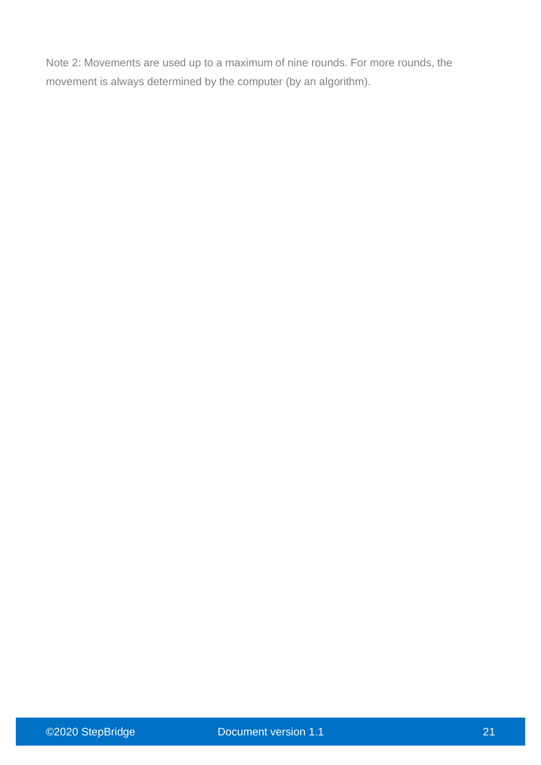Note 2: Movements are used up to a maximum of nine rounds. For more rounds, the movement is always determined by the computer (by an algorithm).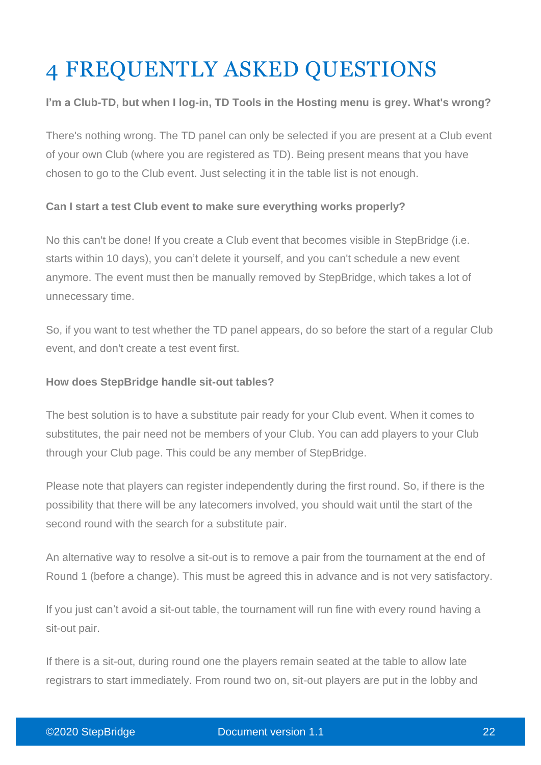# 4 FREQUENTLY ASKED QUESTIONS

#### **I'm a Club-TD, but when I log-in, TD Tools in the Hosting menu is grey. What's wrong?**

There's nothing wrong. The TD panel can only be selected if you are present at a Club event of your own Club (where you are registered as TD). Being present means that you have chosen to go to the Club event. Just selecting it in the table list is not enough.

#### **Can I start a test Club event to make sure everything works properly?**

No this can't be done! If you create a Club event that becomes visible in StepBridge (i.e. starts within 10 days), you can't delete it yourself, and you can't schedule a new event anymore. The event must then be manually removed by StepBridge, which takes a lot of unnecessary time.

So, if you want to test whether the TD panel appears, do so before the start of a regular Club event, and don't create a test event first.

#### **How does StepBridge handle sit-out tables?**

The best solution is to have a substitute pair ready for your Club event. When it comes to substitutes, the pair need not be members of your Club. You can add players to your Club through your Club page. This could be any member of StepBridge.

Please note that players can register independently during the first round. So, if there is the possibility that there will be any latecomers involved, you should wait until the start of the second round with the search for a substitute pair.

An alternative way to resolve a sit-out is to remove a pair from the tournament at the end of Round 1 (before a change). This must be agreed this in advance and is not very satisfactory.

If you just can't avoid a sit-out table, the tournament will run fine with every round having a sit-out pair.

If there is a sit-out, during round one the players remain seated at the table to allow late registrars to start immediately. From round two on, sit-out players are put in the lobby and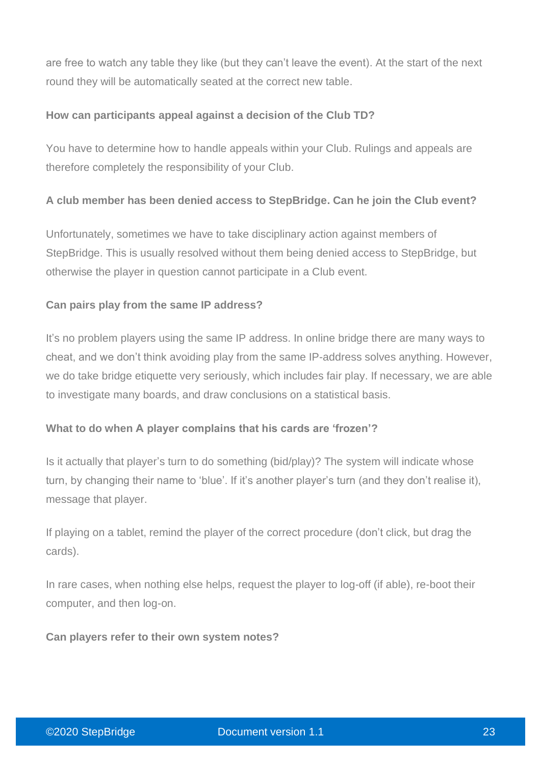are free to watch any table they like (but they can't leave the event). At the start of the next round they will be automatically seated at the correct new table.

#### **How can participants appeal against a decision of the Club TD?**

You have to determine how to handle appeals within your Club. Rulings and appeals are therefore completely the responsibility of your Club.

#### **A club member has been denied access to StepBridge. Can he join the Club event?**

Unfortunately, sometimes we have to take disciplinary action against members of StepBridge. This is usually resolved without them being denied access to StepBridge, but otherwise the player in question cannot participate in a Club event.

#### **Can pairs play from the same IP address?**

It's no problem players using the same IP address. In online bridge there are many ways to cheat, and we don't think avoiding play from the same IP-address solves anything. However, we do take bridge etiquette very seriously, which includes fair play. If necessary, we are able to investigate many boards, and draw conclusions on a statistical basis.

#### **What to do when A player complains that his cards are 'frozen'?**

Is it actually that player's turn to do something (bid/play)? The system will indicate whose turn, by changing their name to 'blue'. If it's another player's turn (and they don't realise it), message that player.

If playing on a tablet, remind the player of the correct procedure (don't click, but drag the cards).

In rare cases, when nothing else helps, request the player to log-off (if able), re-boot their computer, and then log-on.

**Can players refer to their own system notes?**